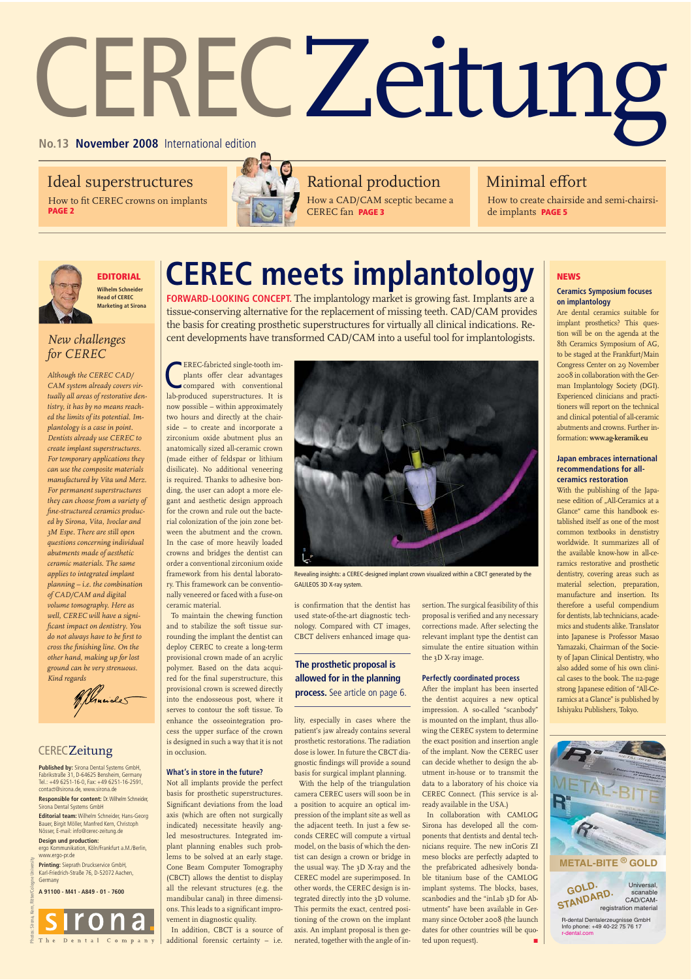# CERECZeitung

## Ideal superstructures

How to fit CEREC crowns on implants **PAGE 2**



How a CAD/CAM sceptic became a CEREC fan **PAGE 3**  Rational production

## Minimal effort

How to create chairside and semi-chairside implants **PAGE 5**



## **EDITORIAL**

## **Wilhelm Schneider Head of CEREC Marketing at Sirona**

## *New challenges for CEREC*

*Although the CEREC CAD/ CAM system already covers virtually all areas of restorative dentistry, it has by no means reached the limits of its potential. Implantology is a case in point. Dentists already use CEREC to create implant superstructures. For temporary applications they can use the composite materials manufactured by Vita und Merz. For permanent superstructures they can choose from a variety of fine-structured ceramics produced by Sirona, Vita, Ivoclar and 3M Espe. There are still open questions concerning individual abutments made of aesthetic ceramic materials. The same applies to integrated implant planning – i.e. the combination of CAD/CAM and digital volume tomography. Here as well, CEREC will have a significant impact on dentistry. You do not always have to be first to cross the finishing line. On the other hand, making up for lost ground can be very strenuous. Kind regards*



## **CERECZeitung**

**Published by:** Sirona Dental Systems GmbH, Fabrikstraße 31, D-64625 Bensheim, Germany Tel.: +49 6251-16-0, Fax: +49 6251-16-2591, contact@sirona.de, www.sirona.de

**Responsible for content:** Dr. Wilhelm Schneider, Sirona Dental Systems GmbH

**Editorial team:** Wilhelm Schneider, Hans-Georg Bauer, Birgit Möller, Manfred Kern, Christoph Nösser, E-mail: info@cerec-zeitung.de **Design und production:** 

ergo Kommunikation, Köln/Frankfurt a.M./Berlin, www.ergo-pr.de

**Printing:** Sieprath Druckservice GmbH,<br>Karl-Friedrich-Straße 76, D-52072 Aachen, Germany

**A 91100 - M41 - A849 - 01 - 7600**

Photos: Sirona, Kern, Ritter/Cologne University



# **CEREC meets implantology**

**FORWARD-LOOKING CONCEPT.** The implantology market is growing fast. Implants are a tissue-conserving alternative for the replacement of missing teeth. CAD/CAM provides the basis for creating prosthetic superstructures for virtually all clinical indications. Recent developments have transformed CAD/CAM into a useful tool for implantologists.

**CEREC-fabricted single-tooth implants offer clear advantages**<br>
compared with conventional<br>
lab-produced superstructures. It is EREC-fabricted single-tooth implants offer clear advantages compared with conventional now possible – within approximately two hours and directly at the chairside – to create and incorporate a zirconium oxide abutment plus an anatomically sized all-ceramic crown (made either of feldspar or lithium disilicate). No additional veneering is required. Thanks to adhesive bonding, the user can adopt a more elegant and aesthetic design approach for the crown and rule out the bacterial colonization of the join zone between the abutment and the crown. In the case of more heavily loaded crowns and bridges the dentist can order a conventional zirconium oxide framework from his dental laboratory. This framework can be conventionally veneered or faced with a fuse-on ceramic material.

To maintain the chewing function and to stabilize the soft tissue surrounding the implant the dentist can deploy CEREC to create a long-term provisional crown made of an acrylic polymer. Based on the data acquired for the final superstructure, this provisional crown is screwed directly into the endosseous post, where it serves to contour the soft tissue. To enhance the osseointegration process the upper surface of the crown is designed in such a way that it is not in occlusion.

## **What's in store in the future?**

Not all implants provide the perfect basis for prosthetic superstructures. Significant deviations from the load axis (which are often not surgically indicated) necessitate heavily angled mesostructures. Integrated implant planning enables such problems to be solved at an early stage. Cone Beam Computer Tomography (CBCT) allows the dentist to display all the relevant structures (e.g. the mandibular canal) in three dimensions. This leads to a significant improvement in diagnostic quality. In addition, CBCT is a source of

additional forensic certainty – i.e.



ealing insights: a CEREC-designed implant crown visualized within a CBCT generated by the GALILEOS 3D X-ray system.

is confirmation that the dentist has used state-of-the-art diagnostic technology. Compared with CT images, CBCT delivers enhanced image qua-

## **The prosthetic proposal is allowed for in the planning**

**process.** See article on page 6.

lity, especially in cases where the patient's jaw already contains several prosthetic restorations. The radiation dose is lower. In future the CBCT diagnostic findings will provide a sound basis for surgical implant planning.

With the help of the triangulation camera CEREC users will soon be in a position to acquire an optical impression of the implant site as well as the adjacent teeth. In just a few seconds CEREC will compute a virtual model, on the basis of which the dentist can design a crown or bridge in the usual way. The 3D X-ray and the CEREC model are superimposed. In other words, the CEREC design is integrated directly into the 3D volume. This permits the exact, centred positioning of the crown on the implant axis. An implant proposal is then generated, together with the angle of insertion. The surgical feasibility of this proposal is verified and any necessary corrections made. After selecting the relevant implant type the dentist can simulate the entire situation within the 3D X-ray image.

## **Perfectly coordinated process**

After the implant has been inserted the dentist acquires a new optical impression. A so-called "scanbody" is mounted on the implant, thus allowing the CEREC system to determine the exact position and insertion angle of the implant. Now the CEREC user can decide whether to design the abutment in-house or to transmit the data to a laboratory of his choice via CEREC Connect. (This service is already available in the USA.)

In collaboration with CAMLOG Sirona has developed all the components that dentists and dental technicians require. The new inCoris ZI meso blocks are perfectly adapted to the prefabricated adhesively bondable titanium base of the CAMLOG implant systems. The blocks, bases, scanbodies and the "inLab 3D for Abutments" have been available in Germany since October 2008 (the launch dates for other countries will be quoted upon request).

## **NEWS**

## **Ceramics Symposium focuses on implantology**

Are dental ceramics suitable for implant prosthetics? This question will be on the agenda at the 8th Ceramics Symposium of AG, to be staged at the Frankfurt/Main Congress Center on 29 November 2008 in collaboration with the German Implantology Society (DGI). Experienced clinicians and practitioners will report on the technical and clinical potential of all-ceramic abutments and crowns. Further information: **www.ag-keramik.eu**

#### **Japan embraces international recommendations for allceramics restoration**

With the publishing of the Japanese edition of "All-Ceramics at a Glance" came this handbook established itself as one of the most common textbooks in denstistry worldwide. It summarizes all of the available know-how in all-ceramics restorative and prosthetic dentistry, covering areas such as material selection, preparation, manufacture and insertion. Its therefore a useful compendium for dentists, lab technicians, academics and students alike. Translator into Japanese is Professor Masao Yamazaki, Chairman of the Society of Japan Clinical Dentistry, who also added some of his own clinical cases to the book. The 112-page strong Japanese edition of "All-Ceramics at a Glance" is published by Ishiyaku Publishers, Tokyo.

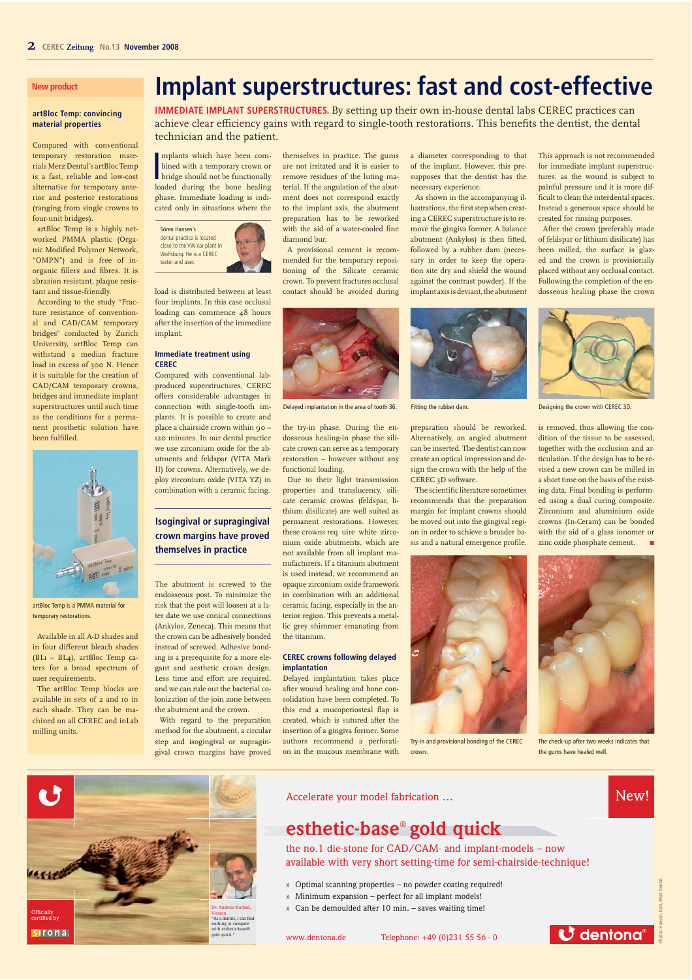## **New product**

#### **artBloc Temp: convincing material properties**

Compared with conventional temporary restoration materials Merz Dental's artBloc Temp is a fast, reliable and low-cost alternative for temporary anterior and posterior restorations (ranging from single crowns to four-unit bridges).

artBloc Temp is a highly networked PMMA plastic (Organic Modified Polymer Network, "OMPN") and is free of inorganic fillers and fibres. It is abrasion resistant, plaque resistant and tissue-friendly.

According to the study "Fracture resistance of conventional and CAD/CAM temporary bridges" conducted by Zurich University, artBloc Temp can withstand a median fracture load in excess of 300 N. Hence it is suitable for the creation of CAD/CAM temporary crowns, bridges and immediate implant superstructures until such time as the conditions for a permanent prosthetic solution have been fulfilled.



artBloc Temp is a PMMA material for temporary restorations.

Available in all A-D shades and in four different bleach shades (BL1 – BL4), artBloc Temp caters for a broad spectrum of user requirements.

The artBloc Temp blocks are available in sets of 2 and 10 in each shade. They can be machined on all CEREC and inLab milling units.

# **Implant superstructures: fast and cost-effective**

**IMMEDIATE IMPLANT SUPERSTRUCTURES.** By setting up their own in-house dental labs CEREC practices can achieve clear efficiency gains with regard to single-tooth restorations. This benefits the dentist, the dental technician and the patient.

mplants which have been com-<br>bined with a temporary crown or<br>bridge should not be functionally<br>loaded during, the bane bealing mplants which have been combined with a temporary crown or loaded during the bone healing phase. Immediate loading is indicated only in situations where the

Sören Hansen's dental practice is located close to the VW car plant in Wolfsburg. He is a CEREC tester and user.

load is distributed between at least four implants. In this case occlusal loading can commence 48 hours after the insertion of the immediate implant.

### **Immediate treatment using CEREC**

Compared with conventional labproduced superstructures, CEREC offers considerable advantages in connection with single-tooth implants. It is possible to create and place a chairside crown within 90 – 120 minutes. In our dental practice we use zirconium oxide for the abutments and feldspar (VITA Mark II) for crowns. Alternatively, we deploy zirconium oxide (VITA YZ) in combination with a ceramic facing.

## **Isogingival or supragingival crown margins have proved themselves in practice**

The abutment is screwed to the endosseous post. To minimize the risk that the post will loosen at a later date we use conical connections (Ankylos, Zeneca). This means that the crown can be adhesively bonded instead of screwed. Adhesive bonding is a prerequisite for a more elegant and aesthetic crown design. Less time and effort are required, and we can rule out the bacterial colonization of the join zone between the abutment and the crown.

With regard to the preparation method for the abutment, a circular step and isogingival or supragingival crown margins have proved themselves in practice. The gums are not irritated and it is easier to remove residues of the luting material. If the angulation of the abutment does not correspond exactly to the implant axis, the abutment preparation has to be reworked with the aid of a water-cooled fine diamond bur.

A provisional cement is recommended for the temporary repositioning of the Silicate ceramic crown. To prevent fractures occlusal contact should be avoided during



Delayed implantation in the area of tooth 36.

the try-in phase. During the endosseous healing-in phase the silicate crown can serve as a temporary restoration – however without any functional loading.

Due to their light transmission properties and translucency, silicate ceramic crowns (feldspar, lithium disilicate) are well suited as permanent restorations. However, these crowns req uire white zirconium oxide abutments, which are not available from all implant manufacturers. If a titanium abutment is used instead, we recommend an opaque zirconium oxide framework in combination with an additional ceramic facing, especially in the anterior region. This prevents a metallic grey shimmer emanating from the titanium.

#### **CEREC crowns following delayed implantation**

Delayed implantation takes place after wound healing and bone consolidation have been completed. To this end a mucoperiosteal flap is created, which is sutured after the insertion of a gingiva former. Some authors recommend a perforation in the mucous membrane with



a diameter corresponding to that of the implant. However, this presupposes that the dentist has the

As shown in the accompanying illustrations, the first step when creating a CEREC superstructure is to remove the gingiva former. A balance abutment (Ankylos) is then fitted, followed by a rubber dam (necessary in order to keep the operation site dry and shield the wound against the contrast powder). If the implant axis is deviant, the abutment

necessary experience.

Fitting the rubber dam.

preparation should be reworked. Alternatively, an angled abutment can be inserted. The dentist can now create an optical impression and design the crown with the help of the CEREC 3D software.

The scientific literature sometimes recommends that the preparation margin for implant crowns should be moved out into the gingival region in order to achieve a broader basis and a natural emergence profile.



Try-in and provisional bonding of the CEREC crown.

This approach is not recommended for immediate implant superstructures, as the wound is subject to painful pressure and it is more difficult to clean the interdental spaces. Instead a generous space should be created for rinsing purposes.

After the crown (preferably made of feldspar or lithium disilicate) has been milled, the surface is glazed and the crown is provisionally placed without any occlusal contact. Following the completion of the endosseous healing phase the crown



Designing the crown with CEREC 3D.

is removed, thus allowing the condition of the tissue to be assessed, together with the occlusion and articulation. If the design has to be revised a new crown can be milled in a short time on the basis of the existing data. Final bonding is performed using a dual curing composite. Zirconium and aluminium oxide crowns (In-Ceram) can be bonded with the aid of a glass ionomer or zinc oxide phosphate cement.



The check-up after two weeks indicates that the gums have healed well.



Accelerate your model fabrication …

## **esthetic-base**® **gold quick**

the no.1 die-stone for CAD/CAM- and implant-models – now available with very short setting-time for semi-chairside-technique!

- » Optimal scanning properties no powder coating required!
- » Minimum expansion perfect for all implant models!
- » Can be demoulded after 10 min. saves waiting time!



New!

Photos: Hansen, Kern, Merz Dental.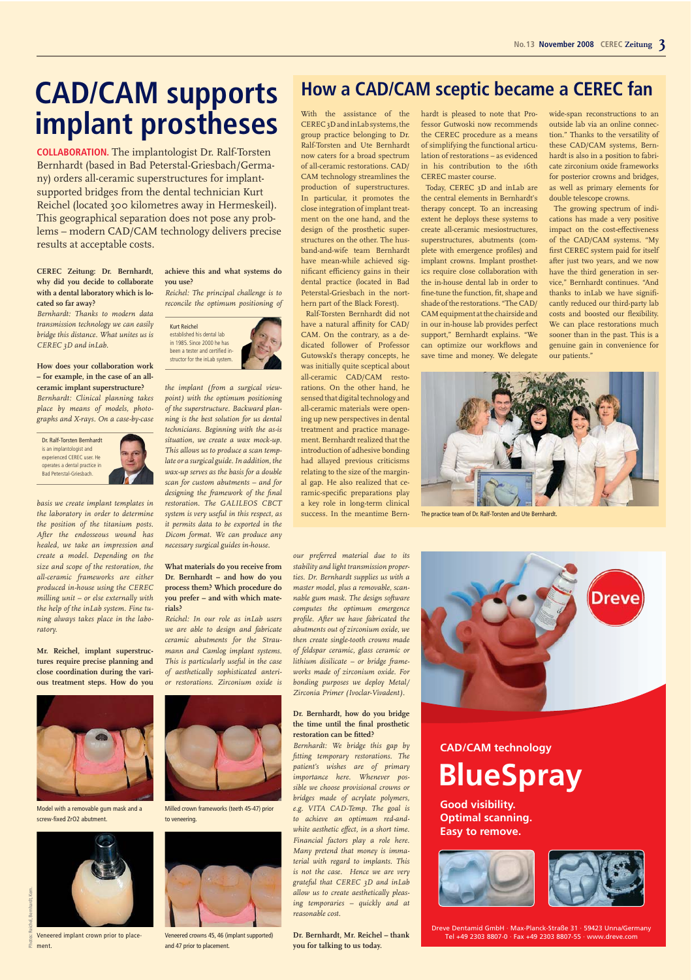# **CAD/CAM supports implant prostheses**

**COLLABORATION.** The implantologist Dr. Ralf-Torsten Bernhardt (based in Bad Peterstal-Griesbach/Germany) orders all-ceramic superstructures for implantsupported bridges from the dental technician Kurt Reichel (located 300 kilometres away in Hermeskeil). This geographical separation does not pose any problems – modern CAD/CAM technology delivers precise results at acceptable costs.

#### **CEREC Zeitung: Dr. Bernhardt, why did you decide to collaborate with a dental laboratory which is located so far away?**

*Bernhardt: Thanks to modern data transmission technology we can easily bridge this distance. What unites us is CEREC 3D and inLab.*

**How does your collaboration work – for example, in the case of an allceramic implant superstructure?**  *Bernhardt: Clinical planning takes place by means of models, photographs and X-rays. On a case-by-case* 

Dr. Ralf-Torsten Bernhardt is an implantologist and experienced CEREC user. He operates a dental practice in Bad Peterstal-Griesbach.

*basis we create implant templates in the laboratory in order to determine the position of the titanium posts. After the endosseous wound has healed, we take an impression and create a model. Depending on the size and scope of the restoration, the all-ceramic frameworks are either produced in-house using the CEREC milling unit – or else externally with the help of the inLab system. Fine tuning always takes place in the laboratory.* 

**Mr. Reichel, implant superstructures require precise planning and close coordination during the various treatment steps. How do you** 



Model with a removable gum mask and a screw-fixed ZrO2 abutment.



## **achieve this and what systems do you use?**

*Reichel: The principal challenge is to reconcile the optimum positioning of* 



*the implant (from a surgical viewpoint) with the optimum positioning of the superstructure. Backward planning is the best solution for us dental technicians. Beginning with the as-is situation, we create a wax mock-up. This allows us to produce a scan template or a surgical guide. In addition, the wax-up serves as the basis for a double scan for custom abutments – and for designing the framework of the final restoration. The GALILEOS CBCT system is very useful in this respect, as it permits data to be exported in the Dicom format. We can produce any necessary surgical guides in-house.*

**What materials do you receive from Dr. Bernhardt – and how do you process them? Which procedure do you prefer – and with which materials?**

*Reichel: In our role as inLab users we are able to design and fabricate ceramic abutments for the Straumann and Camlog implant systems. This is particularly useful in the case of aesthetically sophisticated anterior restorations. Zirconium oxide is* 



Milled crown frameworks (teeth 45-47) prior to veneering.



and 47 prior to placement.

## **How a CAD/CAM sceptic became a CEREC fan**

With the assistance of the CEREC 3D and inLab systems, the group practice belonging to Dr. Ralf-Torsten and Ute Bernhardt now caters for a broad spectrum of all-ceramic restorations. CAD/ CAM technology streamlines the production of superstructures. In particular, it promotes the close integration of implant treatment on the one hand, and the design of the prosthetic superstructures on the other. The husband-and-wife team Bernhardt have mean-while achieved significant efficiency gains in their dental practice (located in Bad Peterstal-Griesbach in the northern part of the Black Forest).

Ralf-Torsten Bernhardt did not have a natural affinity for CAD/ CAM. On the contrary, as a dedicated follower of Professor Gutowski's therapy concepts, he was initially quite sceptical about all-ceramic CAD/CAM restorations. On the other hand, he sensed that digital technology and all-ceramic materials were opening up new perspectives in dental treatment and practice management. Bernhardt realized that the introduction of adhesive bonding had allayed previous criticisms relating to the size of the marginal gap. He also realized that ceramic-specific preparations play a key role in long-term clinical success. In the meantime Bern-

*our preferred material due to its stability and light transmission properties. Dr. Bernhardt supplies us with a master model, plus a removable, scannable gum mask. The design software computes the optimum emergence profile. After we have fabricated the abutments out of zirconium oxide, we then create single-tooth crowns made of feldspar ceramic, glass ceramic or lithium disilicate – or bridge frameworks made of zirconium oxide. For bonding purposes we deploy Metal/ Zirconia Primer (Ivoclar-Vivadent).* 

### **Dr. Bernhardt, how do you bridge the time until the final prosthetic restoration can be fitted?**

*Bernhardt: We bridge this gap by fitting temporary restorations. The patient's wishes are of primary importance here. Whenever possible we choose provisional crowns or bridges made of acrylate polymers, e.g. VITA CAD-Temp. The goal is to achieve an optimum red-andwhite aesthetic effect, in a short time. Financial factors play a role here. Many pretend that money is immaterial with regard to implants. This is not the case. Hence we are very grateful that CEREC 3D and inLab allow us to create aesthetically pleasing temporaries – quickly and at reasonable cost.* 

**Dr. Bernhardt, Mr. Reichel – thank you for talking to us today.** 

hardt is pleased to note that Professor Gutwoski now recommends the CEREC procedure as a means of simplifying the functional articulation of restorations – as evidenced in his contribution to the 16th CEREC master course.

Today, CEREC 3D and inLab are the central elements in Bernhardt's therapy concept. To an increasing extent he deploys these systems to create all-ceramic mesiostructures, superstructures, abutments (complete with emergence profiles) and implant crowns. Implant prosthetics require close collaboration with the in-house dental lab in order to fine-tune the function, fit, shape and shade of the restorations. "The CAD/ CAM equipment at the chairside and in our in-house lab provides perfect support," Bernhardt explains. "We can optimize our workflows and save time and money. We delegate

wide-span reconstructions to an outside lab via an online connection." Thanks to the versatility of these CAD/CAM systems, Bernhardt is also in a position to fabricate zirconium oxide frameworks for posterior crowns and bridges, as well as primary elements for double telescope crowns.

The growing spectrum of indications has made a very positive impact on the cost-effectiveness of the  $CAD/CAM$  systems. "My first CEREC system paid for itself after just two years, and we now have the third generation in service," Bernhardt continues. "And thanks to inLab we have significantly reduced our third-party lab costs and boosted our flexibility. We can place restorations much sooner than in the past. This is a genuine gain in convenience for our patients."



The practice team of Dr. Ralf-Torsten and Ute Bernhardt.



## **BlueSpray CAD/CAM technology**

**Good visibility. Optimal scanning. Easy to remove.** 





id GmbH · Max-Planck-Straße 31 · 59423 Unna/Germany Tel +49 2303 8807-0 · Fax +49 2303 8807-55 · www.dreve.com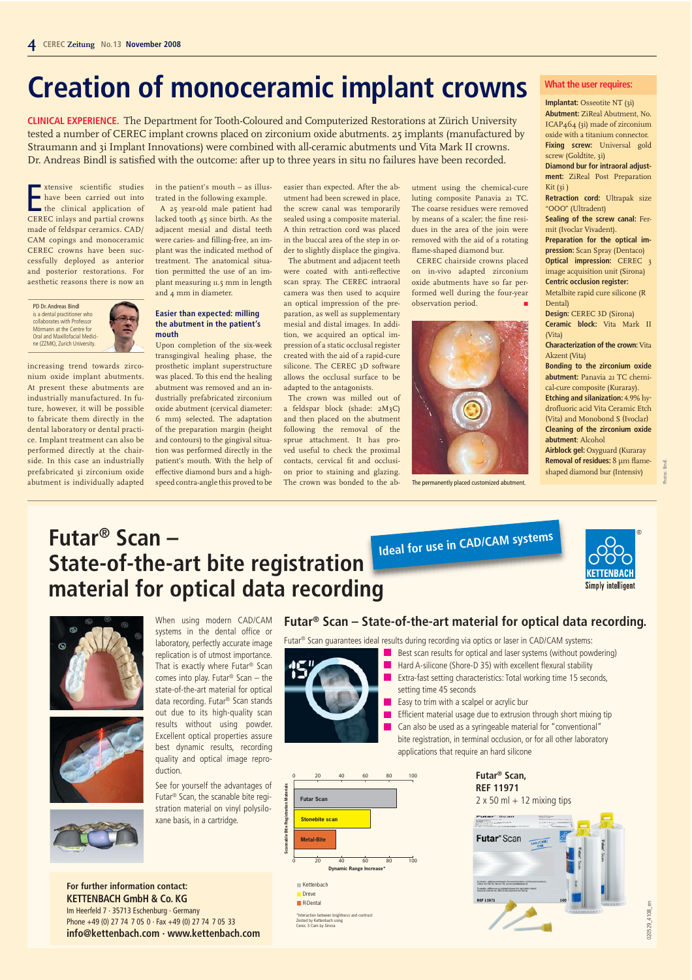# **Creation of monoceramic implant crowns**

**CLINICAL EXPERIENCE.** The Department for Tooth-Coloured and Computerized Restorations at Zürich University tested a number of CEREC implant crowns placed on zirconium oxide abutments. 25 implants (manufactured by Straumann and 3i Implant Innovations) were combined with all-ceramic abutments und Vita Mark II crowns. Dr. Andreas Bindl is satisfied with the outcome: after up to three years in situ no failures have been recorded.

**EXECUTE:** Studies<br>
have been carried out into<br>
the clinical application of<br>
CEREC inlays and partial crowns xtensive scientific studies have been carried out into the clinical application of made of feldspar ceramics. CAD/ CAM copings and monoceramic CEREC crowns have been successfully deployed as anterior and posterior restorations. For aesthetic reasons there is now an

PD Dr. Andreas Bindl is a dental practitioner who collaborates with Professor Mörmann at the Centre for Oral and Maxillofacial Medicine (ZZMK), Zurich University.

increasing trend towards zirconium oxide implant abutments. At present these abutments are industrially manufactured. In future, however, it will be possible to fabricate them directly in the dental laboratory or dental practice. Implant treatment can also be performed directly at the chairside. In this case an industrially prefabricated 3i zirconium oxide abutment is individually adapted

## in the patient's mouth – as illus-

trated in the following example. A 25 year-old male patient had lacked tooth 45 since birth. As the adjacent mesial and distal teeth were caries- and filling-free, an implant was the indicated method of treatment. The anatomical situation permitted the use of an implant measuring 11.5 mm in length and 4 mm in diameter.

## **Easier than expected: milling the abutment in the patient's mouth**

Upon completion of the six-week transgingival healing phase, the prosthetic implant superstructure was placed. To this end the healing abutment was removed and an industrially prefabricated zirconium oxide abutment (cervical diameter: 6 mm) selected. The adaptation of the preparation margin (height and contours) to the gingival situation was performed directly in the patient's mouth. With the help of effective diamond burs and a highspeed contra-angle this proved to be

easier than expected. After the abutment had been screwed in place, the screw canal was temporarily sealed using a composite material. A thin retraction cord was placed in the buccal area of the step in or-

der to slightly displace the gingiva. The abutment and adjacent teeth were coated with anti-reflective scan spray. The CEREC intraoral camera was then used to acquire an optical impression of the preparation, as well as supplementary mesial and distal images. In addition, we acquired an optical impression of a static occlusal register created with the aid of a rapid-cure silicone. The CEREC 3D software allows the occlusal surface to be adapted to the antagonists.

The crown was milled out of a feldspar block (shade: 2M3C) and then placed on the abutment following the removal of the sprue attachment. It has proved useful to check the proximal contacts, cervical fit and occlusion prior to staining and glazing. The crown was bonded to the abutment using the chemical-cure luting composite Panavia 21 TC. The coarse residues were removed by means of a scaler; the fine residues in the area of the join were removed with the aid of a rotating flame-shaped diamond bur.

CEREC chairside crowns placed on in-vivo adapted zirconium oxide abutments have so far performed well during the four-year observation period.



The permanently placed customized abutment.

## **What the user requires:**

**Implantat:** Osseotite NT (3i) **Abutment:** ZiReal Abutment, No. ICAP464 (3i) made of zirconium oxide with a titanium connector. **Fixing screw:** Universal gold screw (Goldtite, 3i) **Diamond bur for intraoral adjust-**

**ment:** ZiReal Post Preparation Kit (3i)

**Retraction cord:** Ultrapak size "OOO" (Ultradent)

**Sealing of the screw canal:** Fermit (Ivoclar Vivadent).

**Preparation for the optical impression:** Scan Spray (Dentaco) **Optical impression:** CEREC 3 image acquisition unit (Sirona)

**Centric occlusion register:**  Metalbite rapid cure silicone (R Dental)

**Design:** CEREC 3D (Sirona) **Ceramic block:** Vita Mark II

(Vita) **Characterization of the crown:** Vita Akzent (Vita)

**Bonding to the zirconium oxide abutment:** Panavia 21 TC chemical-cure composite (Kuraray).

**Etching and silanization:** 4.9% hydrofluoric acid Vita Ceramic Etch (Vita) and Monobond S (Ivoclar) **Cleaning of the zirconium oxide abutment**: Alcohol

**Airblock gel:** Oxyguard (Kuraray **Removal of residues:** 8 µm flameshaped diamond bur (Intensiv)

> **KETTENRACK Simply intelligent**

®

020529\_4108\_en

020529\_4108\_en

## **Futar® Scan – State-of-the-art bite registration material for optical data recording Ideal for use in CAD/CAM systems**



replication is of utmost importance. That is exactly where Futar® Scan comes into play. Futar® Scan – the state-of-the-art material for optical data recording. Futar® Scan stands out due to its high-quality scan results without using powder. Excellent optical properties assure best dynamic results, recording quality and optical image reproduction.

See for yourself the advantages of Futar® Scan, the scanable bite registration material on vinyl polysiloxane basis, in a cartridge.

## **Futar® Scan – State-of-the-art material for optical data recording.**

Futar® Scan guarantees ideal results during recording via optics or laser in CAD/CAM systems:

- Best scan results for optical and laser systems (without powdering)
- Hard A-silicone (Shore-D 35) with excellent flexural stability Extra-fast setting characteristics: Total working time 15 seconds, setting time 45 seconds
- Easy to trim with a scalpel or acrylic bur

Efficient material usage due to extrusion through short mixing tip Can also be used as a syringeable material for "conventional" bite registration, in terminal occlusion, or for all other laboratory applications that require an hard silicone

> **Futar® Scan, REF 11971**  $2 \times 50$  ml + 12 mixing tips



**For further information contact: KETTENBACH GmbH & Co. KG** Im Heerfeld 7 · 35713 Eschenburg · Germany Phone +49 (0) 27 74 7 05 0 · Fax +49 (0) 27 74 7 05 33 **info@kettenbach.com · www.kettenbach.com**

R-Dental \*Interaction between brightness and contrast Zested by Kettenbach using Cerec 3 Cam by Sirona

Kettenbach Dreve

**Futar Scan** 

Stonebite scan

**Scannable Bite Registration Materials**

egis

Bite

0 20 40 60 80 100

**nic Range Incre** 

0 20 40 60 80 100

 $\blacksquare$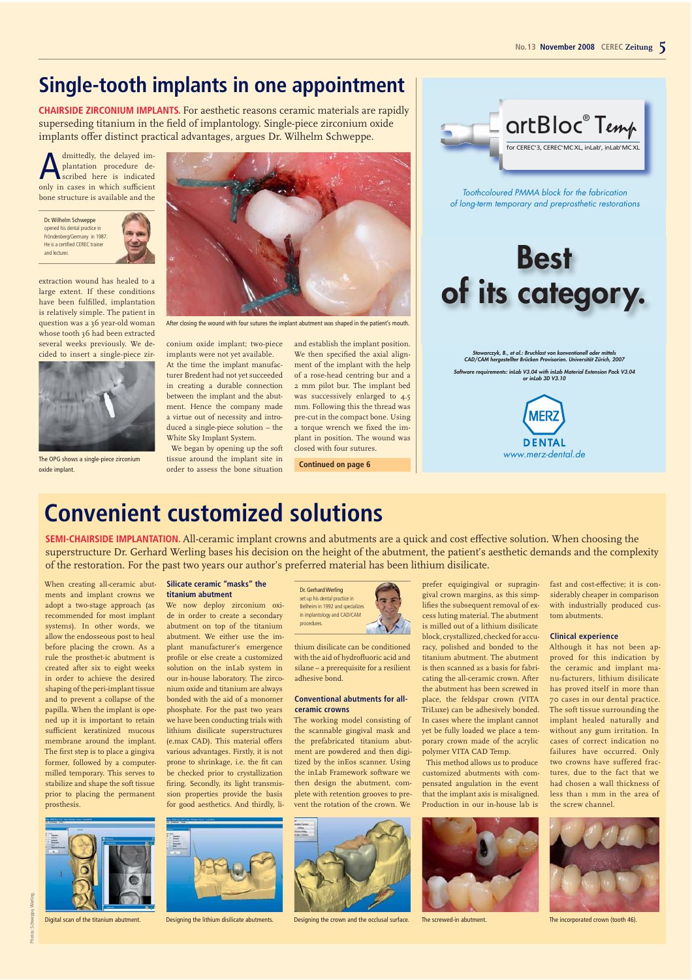artBloc® Temp for CEREC®3, CEREC®MC XL, inLab®, inLab®MC XL

Toothcoloured PMMA block for the fabrication of long-term temporary and preprosthetic restorations

**Best**

**of its category.**

**Stawarczyk, B., et al.: Bruchlast von konventionell oder mittels CAD/CAM hergestellter Brücken Provisorien. Universität Zürich, 2007 Software requirements: inLab V3.04 with inLab Material Extension Pack V3.04 or inLab 3D V3.10**

www.merz-dental.de

**DENTAL** 

## **Single-tooth implants in one appointment**

**CHAIRSIDE ZIRCONIUM IMPLANTS.** For aesthetic reasons ceramic materials are rapidly superseding titanium in the field of implantology. Single-piece zirconium oxide implants offer distinct practical advantages, argues Dr. Wilhelm Schweppe.

A dmittedly, the delayed im-<br>plantation procedure de-<br>scribed here is indicated<br>only in cases in which sufficient plantation procedure de-<u>scribed</u> here is indicated only in cases in which sufficient bone structure is available and the

Dr. Wilhelm Schweppe opened his dental practice in Fröndenberg/Germany in 1987. He is a certified CEREC trainer and lecturer.

extraction wound has healed to a large extent. If these conditions have been fulfilled, implantation is relatively simple. The patient in question was a 36 year-old woman whose tooth 36 had been extracted several weeks previously. We decided to insert a single-piece zir-



The OPG shows a single-piece zirconium



After closing the wound with four sutures the implant abutment was shaped in the patient's mouth.

conium oxide implant; two-piece implants were not yet available.

At the time the implant manufacturer Bredent had not yet succeeded in creating a durable connection between the implant and the abutment. Hence the company made a virtue out of necessity and introduced a single-piece solution – the White Sky Implant System.

We began by opening up the soft tissue around the implant site in order to assess the bone situation oxide implant. **Continued on page 6**

and establish the implant position. We then specified the axial alignment of the implant with the help of a rose-head centring bur and a 2 mm pilot bur. The implant bed was successively enlarged to 4.5 mm. Following this the thread was pre-cut in the compact bone. Using a torque wrench we fixed the implant in position. The wound was closed with four sutures.

## **Convenient customized solutions**

**SEMI-CHAIRSIDE IMPLANTATION.** All-ceramic implant crowns and abutments are a quick and cost effective solution. When choosing the superstructure Dr. Gerhard Werling bases his decision on the height of the abutment, the patient's aesthetic demands and the complexity of the restoration. For the past two years our author's preferred material has been lithium disilicate.

When creating all-ceramic abutments and implant crowns we adopt a two-stage approach (as recommended for most implant systems). In other words, we allow the endosseous post to heal before placing the crown. As a rule the prosthet-ic abutment is created after six to eight weeks in order to achieve the desired shaping of the peri-implant tissue and to prevent a collapse of the papilla. When the implant is opened up it is important to retain sufficient keratinized mucous membrane around the implant. The first step is to place a gingiva former, followed by a computermilled temporary. This serves to stabilize and shape the soft tissue prior to placing the permanent prosthesis.

#### **Silicate ceramic "masks" the titanium abutment**

We now deploy zirconium oxide in order to create a secondary abutment on top of the titanium abutment. We either use the implant manufacturer's emergence profile or else create a customized solution on the inLab system in our in-house laboratory. The zirconium oxide and titanium are always bonded with the aid of a monomer phosphate. For the past two years we have been conducting trials with lithium disilicate superstructures (e.max CAD). This material offers various advantages. Firstly, it is not prone to shrinkage, i.e. the fit can be checked prior to crystallization firing. Secondly, its light transmission properties provide the basis for good aesthetics. And thirdly, li-



thium disilicate can be conditioned with the aid of hydrofluoric acid and silane – a prerequisite for a resilient adhesive bond.

#### **Conventional abutments for allceramic crowns**

The working model consisting of the scannable gingival mask and the prefabricated titanium abutment are powdered and then digitized by the inEos scanner. Using the inLab Framework software we then design the abutment, complete with retention grooves to prevent the rotation of the crown. We



Digital scan of the titanium abutment. Designing the lithium disilicate abutments. Designing the crown and the occlusal surface. The screwed-in abutment. The incorporated crown (tooth 46).

prefer equigingival or supragingival crown margins, as this simplifies the subsequent removal of excess luting material. The abutment is milled out of a lithium disilicate block, crystallized, checked for accuracy, polished and bonded to the titanium abutment. The abutment is then scanned as a basis for fabricating the all-ceramic crown. After the abutment has been screwed in place, the feldspar crown (VITA TriLuxe) can be adhesively bonded. In cases where the implant cannot yet be fully loaded we place a temporary crown made of the acrylic polymer VITA CAD Temp.

This method allows us to produce customized abutments with compensated angulation in the event that the implant axis is misaligned. Production in our in-house lab is



fast and cost-effective; it is considerably cheaper in comparison with industrially produced custom abutments.

#### **Clinical experience**

Although it has not been approved for this indication by the ceramic and implant manu-facturers, lithium disilicate has proved itself in more than 70 cases in our dental practice. The soft tissue surrounding the implant healed naturally and without any gum irritation. In cases of correct indication no failures have occurred. Only two crowns have suffered fractures, due to the fact that we had chosen a wall thickness of less than 1 mm in the area of the screw channel.